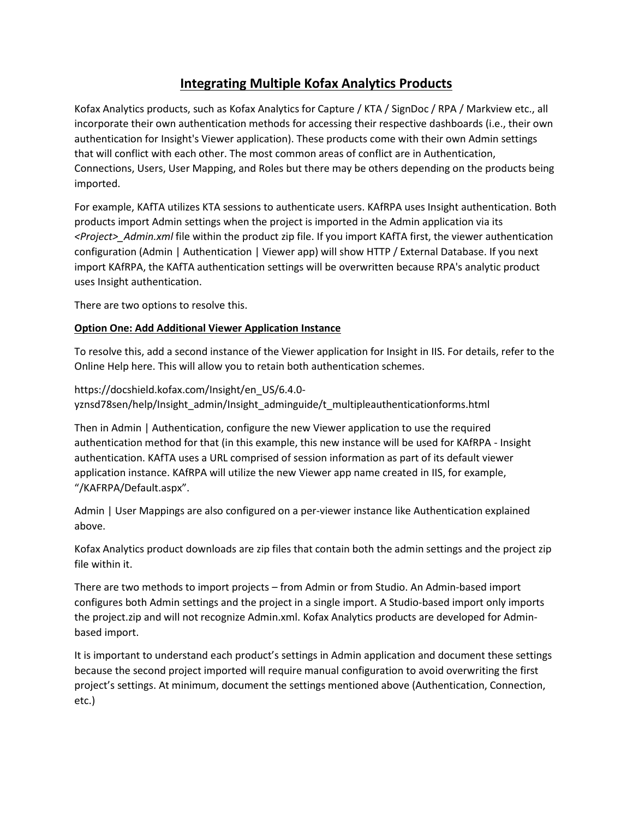## **Integrating Multiple Kofax Analytics Products**

Kofax Analytics products, such as Kofax Analytics for Capture / KTA / SignDoc / RPA / Markview etc., all incorporate their own authentication methods for accessing their respective dashboards (i.e., their own authentication for Insight's Viewer application). These products come with their own Admin settings that will conflict with each other. The most common areas of conflict are in Authentication, Connections, Users, User Mapping, and Roles but there may be others depending on the products being imported.

For example, KAfTA utilizes KTA sessions to authenticate users. KAfRPA uses Insight authentication. Both products import Admin settings when the project is imported in the Admin application via its *<Project>\_Admin.xml* file within the product zip file. If you import KAfTA first, the viewer authentication configuration (Admin | Authentication | Viewer app) will show HTTP / External Database. If you next import KAfRPA, the KAfTA authentication settings will be overwritten because RPA's analytic product uses Insight authentication.

There are two options to resolve this.

## **Option One: Add Additional Viewer Application Instance**

To resolve this, add a second instance of the Viewer application for Insight in IIS. For details, refer to the Online Help here. This will allow you to retain both authentication schemes.

https://docshield.kofax.com/Insight/en\_US/6.4.0 yznsd78sen/help/Insight\_admin/Insight\_adminguide/t\_multipleauthenticationforms.html

Then in Admin | Authentication, configure the new Viewer application to use the required authentication method for that (in this example, this new instance will be used for KAfRPA - Insight authentication. KAfTA uses a URL comprised of session information as part of its default viewer application instance. KAfRPA will utilize the new Viewer app name created in IIS, for example, "/KAFRPA/Default.aspx".

Admin | User Mappings are also configured on a per-viewer instance like Authentication explained above.

Kofax Analytics product downloads are zip files that contain both the admin settings and the project zip file within it.

There are two methods to import projects – from Admin or from Studio. An Admin-based import configures both Admin settings and the project in a single import. A Studio-based import only imports the project.zip and will not recognize Admin.xml. Kofax Analytics products are developed for Adminbased import.

It is important to understand each product's settings in Admin application and document these settings because the second project imported will require manual configuration to avoid overwriting the first project's settings. At minimum, document the settings mentioned above (Authentication, Connection, etc.)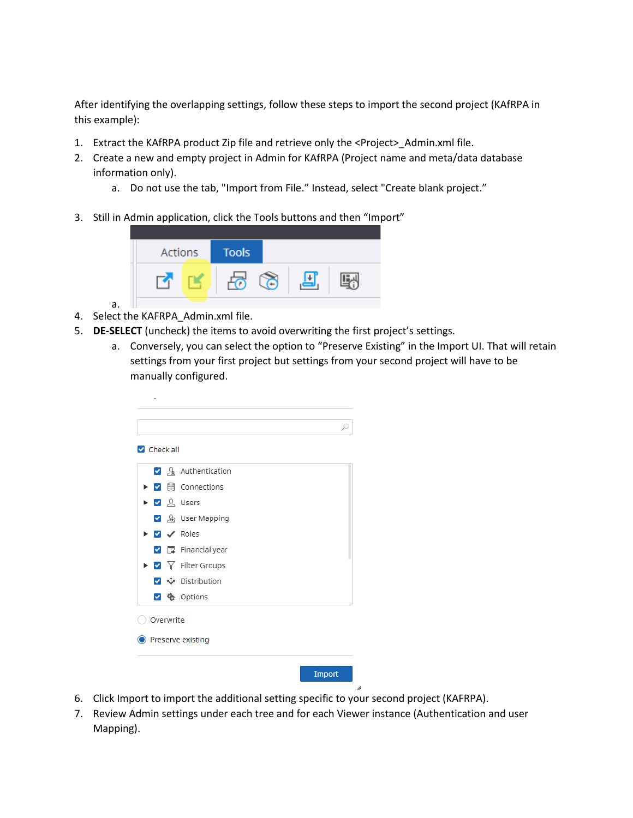After identifying the overlapping settings, follow these steps to import the second project (KAfRPA in this example):

- 1. Extract the KAfRPA product Zip file and retrieve only the <Project> Admin.xml file.
- 2. Create a new and empty project in Admin for KAfRPA (Project name and meta/data database information only).
	- a. Do not use the tab, "Import from File." Instead, select "Create blank project."
- 3. Still in Admin application, click the Tools buttons and then "Import"



- 4. Select the KAFRPA\_Admin.xml file.
- 5. **DE-SELECT** (uncheck) the items to avoid overwriting the first project's settings.
	- a. Conversely, you can select the option to "Preserve Existing" in the Import UI. That will retain settings from your first project but settings from your second project will have to be manually configured.

| ☑ & Authentication                                                              |  |
|---------------------------------------------------------------------------------|--|
| $\triangleright$ $\triangleright$ $\blacksquare$ Connections                    |  |
| $\triangleright$ $\triangleright$ $\Omega$ Users                                |  |
| 8 User Mapping                                                                  |  |
| $\triangleright$ $\triangleright$ $\triangleright$ Roles                        |  |
| $\triangledown$ $\blacksquare$ Financial year                                   |  |
| $\blacktriangleright$ $\blacktriangleright$ $\blacktriangleright$ Filter Groups |  |
| v + Distribution                                                                |  |
| ✔ ※ Options                                                                     |  |

- 6. Click Import to import the additional setting specific to your second project (KAFRPA).
- 7. Review Admin settings under each tree and for each Viewer instance (Authentication and user Mapping).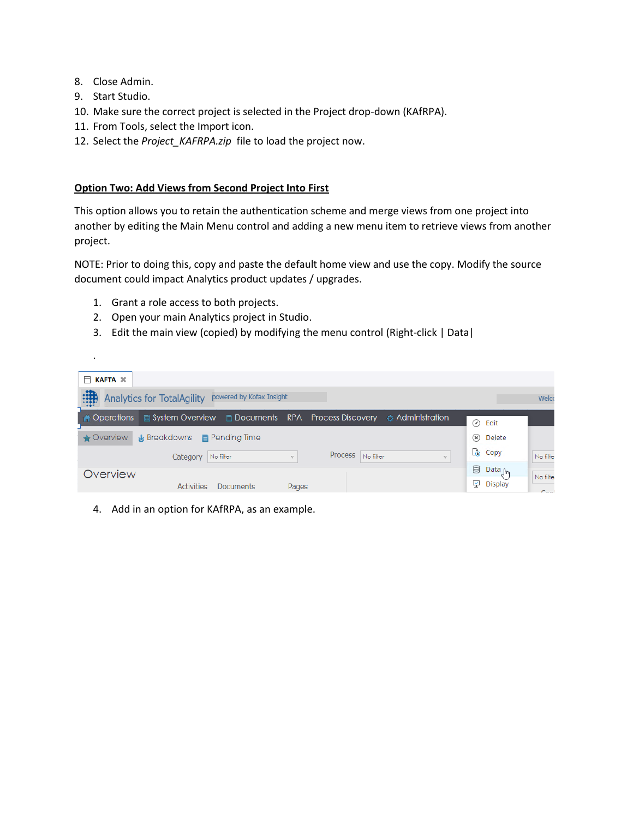- 8. Close Admin.
- 9. Start Studio.

.

- 10. Make sure the correct project is selected in the Project drop-down (KAfRPA).
- 11. From Tools, select the Import icon.
- 12. Select the *Project\_KAFRPA.zip* file to load the project now.

## **Option Two: Add Views from Second Project Into First**

This option allows you to retain the authentication scheme and merge views from one project into another by editing the Main Menu control and adding a new menu item to retrieve views from another project.

NOTE: Prior to doing this, copy and paste the default home view and use the copy. Modify the source document could impact Analytics product updates / upgrades.

- 1. Grant a role access to both projects.
- 2. Open your main Analytics project in Studio.
- 3. Edit the main view (copied) by modifying the menu control (Right-click | Data|

| $\Box$ KAFTA $\mathbb{\times}$                                                                       |                         |              |
|------------------------------------------------------------------------------------------------------|-------------------------|--------------|
| :我<br>powered by Kofax Insight<br><b>Analytics for TotalAgility</b>                                  |                         | Welc         |
| <b>A Operations</b> a System Overview <b>b</b> Documents RPA Process Discovery $\phi$ Administration | ⊘<br>Edit               |              |
| <b>x</b> Breakdowns <b>E</b> Pending Time<br>$\triangle$ Overview                                    | $(x)$ Delete            |              |
| Process No filter<br>No filter<br>Category<br>$\nabla$<br>$\nabla$                                   | <b>Copy</b>             | No filte     |
| Overview                                                                                             | e<br>Data <sub>Jm</sub> | No filte     |
| <b>Activities</b><br>Pages<br>Documents                                                              | 및 Display               | $C_{\rm DM}$ |

4. Add in an option for KAfRPA, as an example.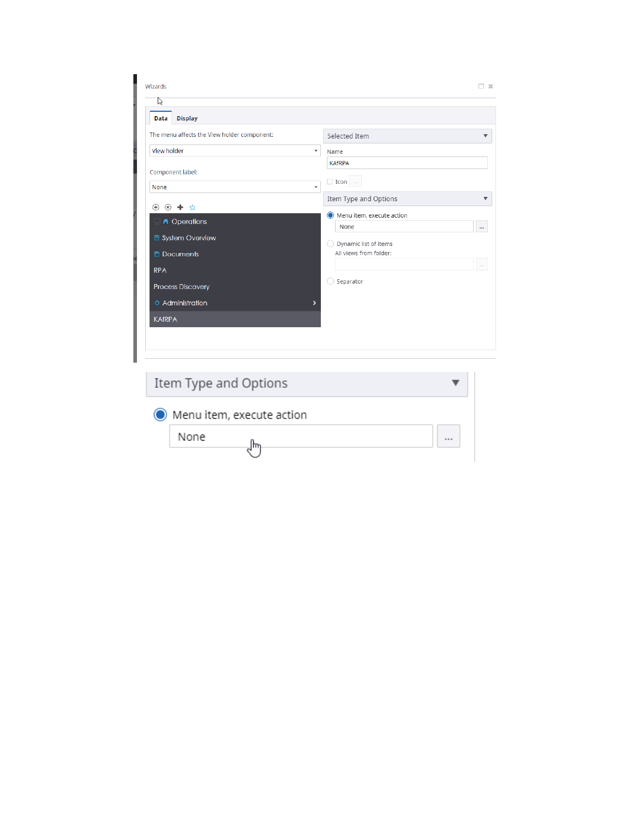| <b>Display</b><br>Data                                                         |                      |                                                 |
|--------------------------------------------------------------------------------|----------------------|-------------------------------------------------|
| The menu affects the View holder component:                                    |                      | Selected Item<br>$\overline{\mathbf{v}}$        |
| View holder                                                                    | $\blacktriangledown$ | Name                                            |
|                                                                                |                      | <b>KAfRPA</b>                                   |
| Component label:<br>None                                                       | $\blacktriangledown$ | $\Box$ Icon $\Box$                              |
|                                                                                |                      | Item Type and Options                           |
| $\otimes$ + $\otimes$<br>$\bigoplus$<br><b>A</b> Operations<br>System Overview |                      | Menu item, execute action<br>None<br>$\cdots$   |
| Documents                                                                      |                      | Dynamic list of items<br>All views from folder: |
| <b>RPA</b>                                                                     |                      | $\sim$ $\sim$                                   |
| <b>Process Discovery</b>                                                       |                      | Separator                                       |
| <b>Administration</b>                                                          | >                    |                                                 |
| <b>KAfRPA</b>                                                                  |                      |                                                 |

| Item Type and Options       |  |
|-----------------------------|--|
| O Menu item, execute action |  |
| None                        |  |
|                             |  |